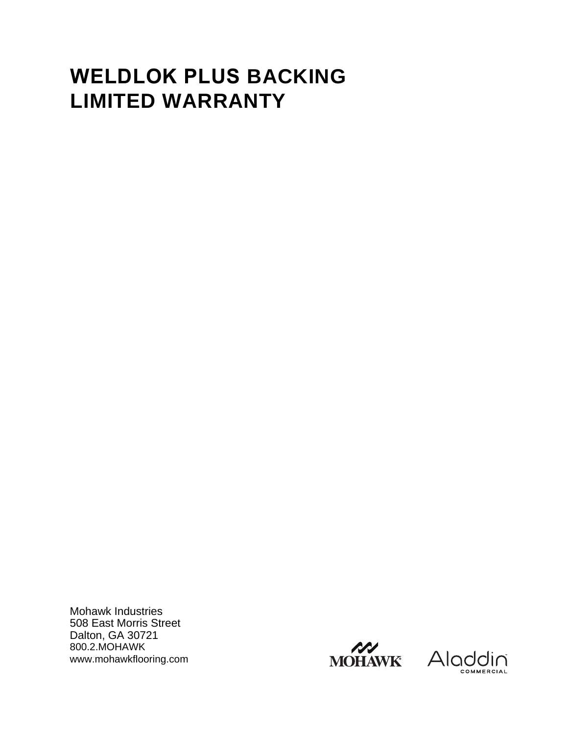# **WELDLOK PLUS BACKING LIMITED WARRANTY**

Mohawk Industries 508 East Morris Street Dalton, GA 30721 800.2.MOHAWK www.mohawkflooring.com



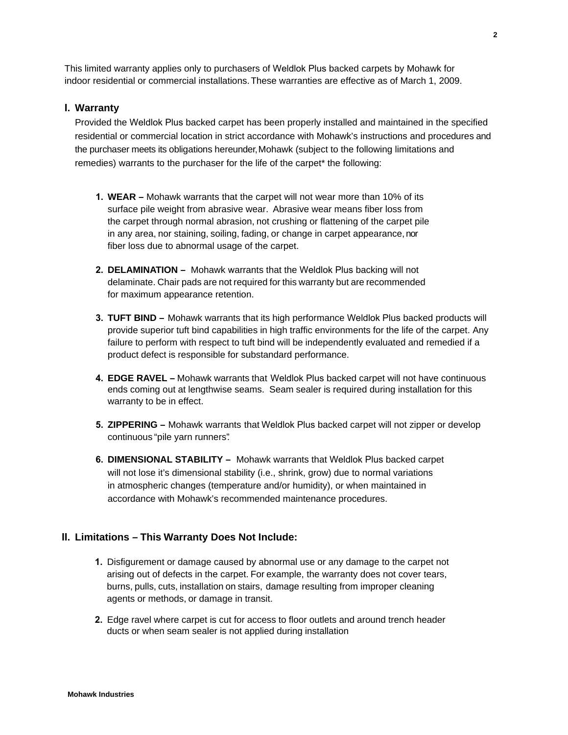This limited warranty applies only to purchasers of Weldlok Plus backed carpets by Mohawk for indoor residential or commercial installations.These warranties are effective as of March 1, 2009.

### **I. Warranty**

Provided the Weldlok Plus backed carpet has been properly installed and maintained in the specified residential or commercial location in strict accordance with Mohawk's instructions and procedures and the purchaser meets its obligations hereunder, Mohawk (subject to the following limitations and remedies) warrants to the purchaser for the life of the carpet\* the following:

- **1. WEAR –** Mohawk warrants that the carpet will not wear more than 10% of its surface pile weight from abrasive wear. Abrasive wear means fiber loss from the carpet through normal abrasion, not crushing or flattening of the carpet pile in any area, nor staining, soiling, fading, or change in carpet appearance, nor fiber loss due to abnormal usage of the carpet.
- **2. DELAMINATION –** Mohawk warrants that the Weldlok Plus backing will not delaminate. Chair pads are not required for this warranty but are recommended for maximum appearance retention.
- **3. TUFT BIND –** Mohawk warrants that its high performance Weldlok Plus backed products will provide superior tuft bind capabilities in high traffic environments for the life of the carpet. Any failure to perform with respect to tuft bind will be independently evaluated and remedied if a product defect is responsible for substandard performance.
- **4. EDGE RAVEL –** Mohawk warrants that Weldlok Plus backed carpet will not have continuous ends coming out at lengthwise seams. Seam sealer is required during installation for this warranty to be in effect.
- **5. ZIPPERING –** Mohawk warrants that Weldlok Plus backed carpet will not zipper or develop continuous "pile yarn runners".
- **6. DIMENSIONAL STABILITY –** Mohawk warrants that Weldlok Plus backed carpet will not lose it's dimensional stability (i.e., shrink, grow) due to normal variations in atmospheric changes (temperature and/or humidity), or when maintained in accordance with Mohawk's recommended maintenance procedures.

### **II. Limitations – This Warranty Does Not Include:**

- **1.** Disfigurement or damage caused by abnormal use or any damage to the carpet not arising out of defects in the carpet. For example, the warranty does not cover tears, burns, pulls, cuts, installation on stairs, damage resulting from improper cleaning agents or methods, or damage in transit.
- **2.** Edge ravel where carpet is cut for access to floor outlets and around trench header ducts or when seam sealer is not applied during installation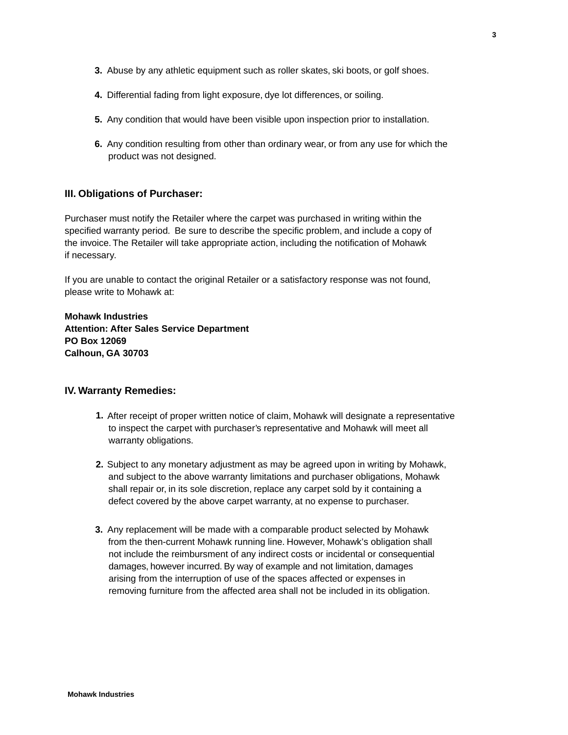- **3.** Abuse by any athletic equipment such as roller skates, ski boots, or golf shoes.
- **4.** Differential fading from light exposure, dye lot differences, or soiling.
- **5.** Any condition that would have been visible upon inspection prior to installation.
- **6.** Any condition resulting from other than ordinary wear, or from any use for which the product was not designed.

#### **III. Obligations of Purchaser:**

Purchaser must notify the Retailer where the carpet was purchased in writing within the specified warranty period. Be sure to describe the specific problem, and include a copy of the invoice. The Retailer will take appropriate action, including the notification of Mohawk if necessary.

If you are unable to contact the original Retailer or a satisfactory response was not found, please write to Mohawk at:

**Mohawk Industries Attention: After Sales Service Department PO Box 12069 Calhoun, GA 30703**

#### **IV. Warranty Remedies:**

- **1.**  After receipt of proper written notice of claim, Mohawk will designate a representative to inspect the carpet with purchaser's representative and Mohawk will meet all warranty obligations.
- **2.** Subject to any monetary adjustment as may be agreed upon in writing by Mohawk, and subject to the above warranty limitations and purchaser obligations, Mohawk shall repair or, in its sole discretion, replace any carpet sold by it containing a defect covered by the above carpet warranty, at no expense to purchaser.
- **3.** Any replacement will be made with a comparable product selected by Mohawk from the then-current Mohawk running line. However, Mohawk's obligation shall not include the reimbursment of any indirect costs or incidental or consequential damages, however incurred. By way of example and not limitation, damages arising from the interruption of use of the spaces affected or expenses in removing furniture from the affected area shall not be included in its obligation.